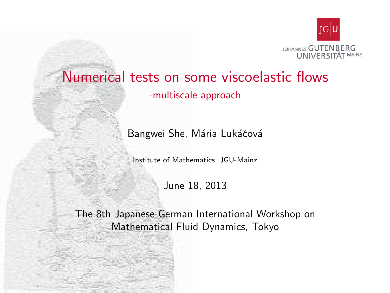

## Numerical tests on some viscoelastic flows

-multiscale approach

Bangwei She, Mária Lukáčová

Institute of Mathematics, JGU-Mainz

June 18, 2013

<span id="page-0-0"></span>The 8th Japanese-German International Workshop on Mathematical Fluid Dynamics, Tokyo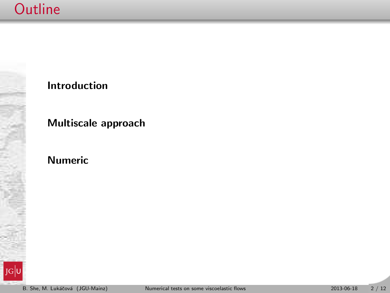## **Outline**



## Introduction

## Multiscale approach

## Numeric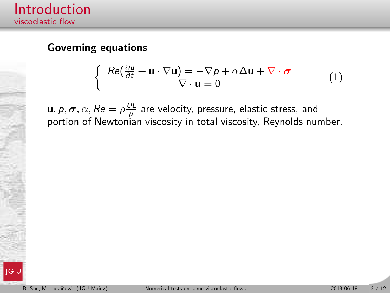### Governing equations

$$
\begin{cases}\nRe(\frac{\partial \mathbf{u}}{\partial t} + \mathbf{u} \cdot \nabla \mathbf{u}) = -\nabla p + \alpha \Delta \mathbf{u} + \nabla \cdot \boldsymbol{\sigma} \\
\nabla \cdot \mathbf{u} = 0\n\end{cases}
$$
\n(1)

 $\mathbf{u}, p, \boldsymbol{\sigma}, \alpha, Re = \rho \frac{\partial L}{\partial \mathbf{u}}$  $\frac{\partial L}{\partial \mu}$  are velocity, pressure, elastic stress, and portion of Newtonian viscosity in total viscosity, Reynolds number.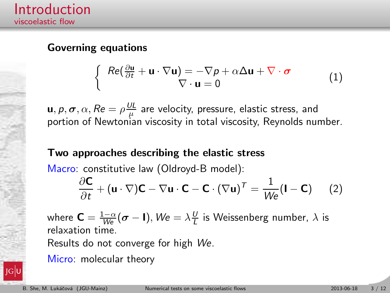## Governing equations

$$
\begin{cases}\nRe(\frac{\partial \mathbf{u}}{\partial t} + \mathbf{u} \cdot \nabla \mathbf{u}) = -\nabla p + \alpha \Delta \mathbf{u} + \nabla \cdot \boldsymbol{\sigma} \\
\nabla \cdot \mathbf{u} = 0\n\end{cases}
$$
\n(1)

 $\mathbf{u}, p, \boldsymbol{\sigma}, \alpha, Re = \rho \frac{\partial L}{\partial \mathbf{u}}$  $\frac{\partial L}{\partial \mu}$  are velocity, pressure, elastic stress, and portion of Newtonian viscosity in total viscosity, Reynolds number.

## Two approaches describing the elastic stress

Macro: constitutive law (Oldroyd-B model):

$$
\frac{\partial \mathbf{C}}{\partial t} + (\mathbf{u} \cdot \nabla)\mathbf{C} - \nabla \mathbf{u} \cdot \mathbf{C} - \mathbf{C} \cdot (\nabla \mathbf{u})^T = \frac{1}{W_e} (\mathbf{I} - \mathbf{C}) \qquad (2)
$$

where  $\mathbf{C}=\frac{1-\alpha}{We}(\boldsymbol{\sigma}-\mathbf{I}),$   $\mathcal{W}\mathbf{e}=\lambda\frac{U}{L}$  is Weissenberg number,  $\lambda$  is relaxation time.

Results do not converge for high We.

Micro: molecular theory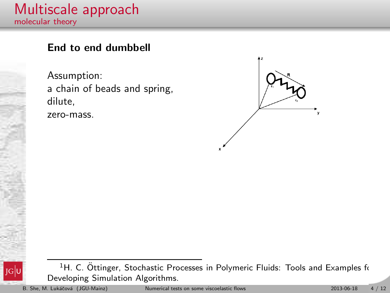## Multiscale approach molecular theory

## End to end dumbbell

Assumption: a chain of beads and spring, dilute, zero-mass.



<sup>1</sup>H. C. Öttinger, Stochastic Processes in Polymeric Fluids: Tools and Examples for Developing Simulation Algorithms.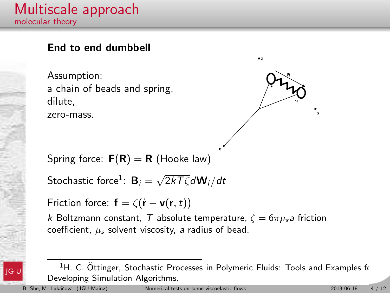## Multiscale approach molecular theory

## End to end dumbbell

Assumption: a chain of beads and spring, dilute, zero-mass.

Spring force:  $F(R) = R$  (Hooke law)

Stochastic force $^1$ :  ${\bf B}_i = \sqrt{2kT\zeta}d{\bf W}_i/dt$ 

Friction force:  $\mathbf{f} = \zeta(\mathbf{r} - \mathbf{v}(\mathbf{r}, t))$ 

k Boltzmann constant, T absolute temperature,  $\zeta = 6\pi \mu_s a$  friction coefficient,  $\mu_s$  solvent viscosity, a radius of bead.

<sup>1</sup>H. C. Ottinger, Stochastic Processes in Polymeric Fluids: Tools and Examples for Developing Simulation Algorithms.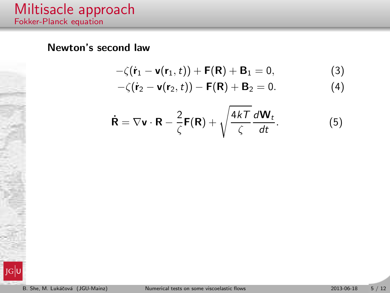## Newton's second law

$$
-\zeta(\dot{\mathbf{r}}_1-\mathbf{v}(\mathbf{r}_1,t))+\mathbf{F}(\mathbf{R})+\mathbf{B}_1=0,
$$
\n(3)

$$
-\zeta(\dot{\mathbf{r}}_2-\mathbf{v}(\mathbf{r}_2,t))-\mathbf{F}(\mathbf{R})+\mathbf{B}_2=0.
$$
 (4)

$$
\dot{\mathbf{R}} = \nabla \mathbf{v} \cdot \mathbf{R} - \frac{2}{\zeta} \mathbf{F}(\mathbf{R}) + \sqrt{\frac{4kT}{\zeta}} \frac{d\mathbf{W}_t}{dt}.
$$
 (5)

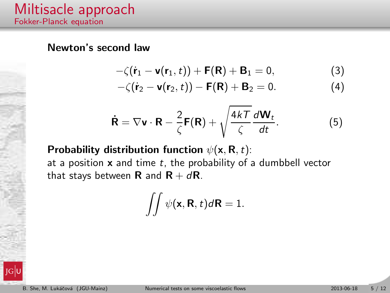#### Newton's second law

$$
-\zeta(\dot{\mathbf{r}}_1-\mathbf{v}(\mathbf{r}_1,t))+\mathbf{F}(\mathbf{R})+\mathbf{B}_1=0,
$$
\n(3)

$$
-\zeta(\dot{\mathbf{r}}_2 - \mathbf{v}(\mathbf{r}_2, t)) - \mathbf{F}(\mathbf{R}) + \mathbf{B}_2 = 0.
$$
 (4)

$$
\dot{\mathbf{R}} = \nabla \mathbf{v} \cdot \mathbf{R} - \frac{2}{\zeta} \mathbf{F}(\mathbf{R}) + \sqrt{\frac{4kT}{\zeta}} \frac{d\mathbf{W}_t}{dt}.
$$
 (5)

Probability distribution function  $\psi(\mathbf{x}, \mathbf{R}, t)$ : at a position  $x$  and time  $t$ , the probability of a dumbbell vector that stays between **R** and **R** +  $d$ **R**.

$$
\iint \psi(\mathbf{x}, \mathbf{R}, t) d\mathbf{R} = 1.
$$

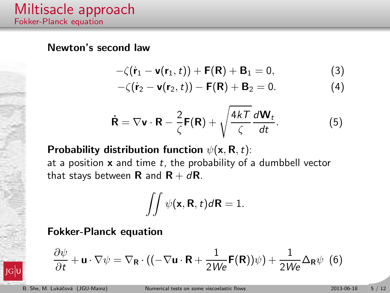#### Newton's second law

$$
-\zeta(\dot{\mathbf{r}}_1-\mathbf{v}(\mathbf{r}_1,t))+\mathbf{F}(\mathbf{R})+\mathbf{B}_1=0,
$$
\n(3)

$$
-\zeta(\dot{\mathbf{r}}_2 - \mathbf{v}(\mathbf{r}_2, t)) - \mathbf{F}(\mathbf{R}) + \mathbf{B}_2 = 0.
$$
 (4)

$$
\dot{\mathbf{R}} = \nabla \mathbf{v} \cdot \mathbf{R} - \frac{2}{\zeta} \mathbf{F}(\mathbf{R}) + \sqrt{\frac{4kT}{\zeta}} \frac{d\mathbf{W}_t}{dt}.
$$
 (5)

Probability distribution function  $\psi(\mathbf{x}, \mathbf{R}, t)$ : at a position  $x$  and time  $t$ , the probability of a dumbbell vector that stays between **R** and **R** +  $d$ **R**.

$$
\iint \psi(\mathbf{x}, \mathbf{R}, t) d\mathbf{R} = 1.
$$

Fokker-Planck equation

$$
\frac{\partial \psi}{\partial t} + \mathbf{u} \cdot \nabla \psi = \nabla_{\mathbf{R}} \cdot ((-\nabla \mathbf{u} \cdot \mathbf{R} + \frac{1}{2W\mathbf{e}} \mathbf{F}(\mathbf{R}))\psi) + \frac{1}{2W\mathbf{e}} \Delta_{\mathbf{R}} \psi \tag{6}
$$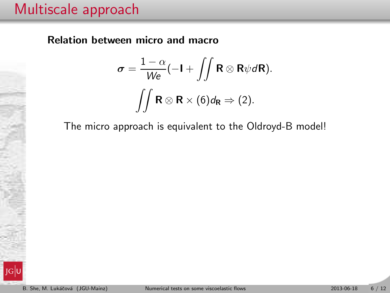## Multiscale approach

Relation between micro and macro

$$
\sigma = \frac{1-\alpha}{We}(-I + \iint \mathbf{R} \otimes \mathbf{R} \psi d\mathbf{R}).
$$

$$
\iint \mathbf{R} \otimes \mathbf{R} \times (6) d_{\mathbf{R}} \Rightarrow (2).
$$

The micro approach is equivalent to the Oldroyd-B model!

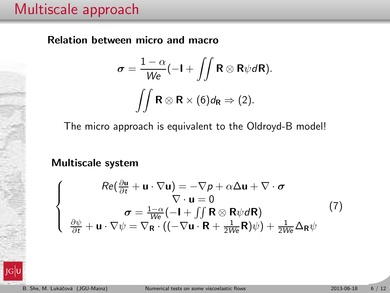## Multiscale approach

Relation between micro and macro

$$
\sigma = \frac{1-\alpha}{We}(-I + \iint \mathbf{R} \otimes \mathbf{R} \psi d\mathbf{R}).
$$

$$
\iint \mathbf{R} \otimes \mathbf{R} \times (6) d_{\mathbf{R}} \Rightarrow (2).
$$

The micro approach is equivalent to the Oldroyd-B model!

Multiscale system

$$
\begin{cases}\nRe(\frac{\partial \mathbf{u}}{\partial t} + \mathbf{u} \cdot \nabla \mathbf{u}) = -\nabla p + \alpha \Delta \mathbf{u} + \nabla \cdot \boldsymbol{\sigma} \\
\nabla \cdot \mathbf{u} = 0 \\
\sigma = \frac{1 - \alpha}{We} (-\mathbf{I} + \iint \mathbf{R} \otimes \mathbf{R} \psi d\mathbf{R}) \\
\frac{\partial \psi}{\partial t} + \mathbf{u} \cdot \nabla \psi = \nabla_{\mathbf{R}} \cdot ((-\nabla \mathbf{u} \cdot \mathbf{R} + \frac{1}{2We} \mathbf{R}) \psi) + \frac{1}{2We} \Delta_{\mathbf{R}} \psi\n\end{cases}
$$
\n(7)

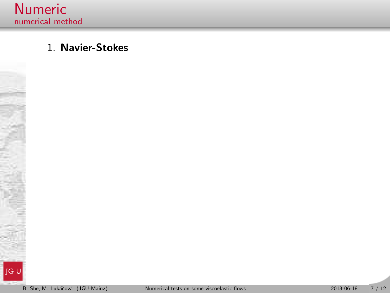

## 1. Navier-Stokes

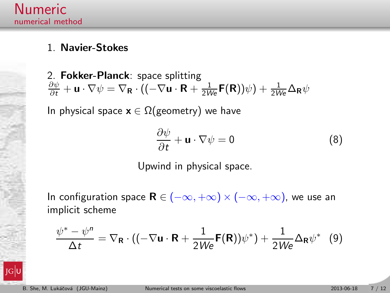## 1. Navier-Stokes

2. Fokker-Planck: space splitting  $\frac{\partial \psi}{\partial t} + \mathbf{u} \cdot \nabla \psi = \nabla_{\mathbf{R}} \cdot ((-\nabla \mathbf{u} \cdot \mathbf{R} + \frac{1}{2W\mathbf{e}} \mathbf{F}(\mathbf{R}))\psi) + \frac{1}{2W\mathbf{e}} \Delta_{\mathbf{R}} \psi$ 

In physical space  $x \in \Omega$ (geometry) we have

$$
\frac{\partial \psi}{\partial t} + \mathbf{u} \cdot \nabla \psi = 0 \tag{8}
$$

Upwind in physical space.

In configuration space  $\mathbf{R} \in (-\infty, +\infty) \times (-\infty, +\infty)$ , we use an implicit scheme

$$
\frac{\psi^* - \psi^n}{\Delta t} = \nabla_{\mathbf{R}} \cdot ((-\nabla \mathbf{u} \cdot \mathbf{R} + \frac{1}{2W\mathbf{e}} \mathbf{F}(\mathbf{R}))\psi^*) + \frac{1}{2W\mathbf{e}} \Delta_{\mathbf{R}} \psi^* \tag{9}
$$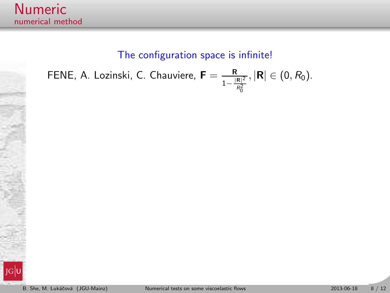## The configuration space is infinite!

FENE, A. Lozinski, C. Chauviere,  $\textsf{F}=\frac{\textsf{R}}{1-\frac{|\textsf{R}|^2}{R_0^2}}$  $, |\mathbf{R}| \in (0, R_0).$ 

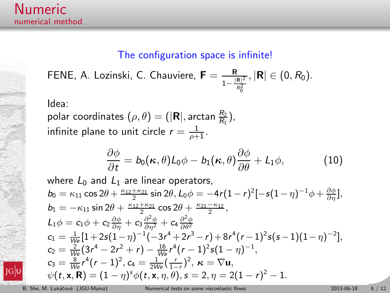#### The configuration space is infinite!

FENE, A. Lozinski, C. Chauviere,  $\textsf{F}=\frac{\textsf{R}}{1-\frac{|\textsf{R}|^2}{R_0^2}}, |\textsf{R}| \in (0,R_0).$ 0

Idea:

polar coordinates  $(\rho, \theta) = (|\mathbf{R}|, \arctan \frac{R_2}{R_1}),$ infinite plane to unit circle  $r=\frac{1}{\rho+1}.$ 

$$
\frac{\partial \phi}{\partial t} = b_0(\kappa, \theta) L_0 \phi - b_1(\kappa, \theta) \frac{\partial \phi}{\partial \theta} + L_1 \phi, \tag{10}
$$

where  $L_0$  and  $L_1$  are linear operators,  $b_0 = \kappa_{11} \cos 2\theta + \frac{\kappa_{12} + \kappa_{21}}{2} \sin 2\theta$ ,  $L_0 \phi = -4r(1-r)^2[-s(1-\eta)^{-1}\phi + \frac{\partial \phi}{\partial \eta}],$  $b_1 = -\kappa_{11} \sin 2\theta + \frac{\kappa_{12} + \kappa_{21}}{2} \cos 2\theta + \frac{\kappa_{21} - \kappa_{12}}{2},$  $L_1\phi = c_1\phi + c_2\frac{\partial \phi}{\partial \eta} + c_3\frac{\partial^2 \phi}{\partial \eta^2} + c_4\frac{\partial^2 \phi}{\partial \theta^2}$  $c_1 = \frac{1}{\sqrt{6}}[1+2s(1-\eta)^{-1}(-3r^4+2r^3-r)+8r^4(r-1)^2s(s-1)(1-\eta)^{-2}],$  $c_2 = \frac{2}{We} (3r^4 - 2r^2 + r) - \frac{16}{We} r^4 (r - 1)^2 s (1 - \eta)^{-1},$  $c_3 = \frac{8}{We}r^4(r-1)^2, c_4 = \frac{1}{2We}(\frac{r}{1-r})^2, \ \kappa = \nabla u,$  $\psi(t, \mathbf{x}, \mathbf{R}) = (1 - \eta)^s \phi(t, \mathbf{x}, \eta, \theta), s = 2, \eta = 2(1 - r)^2 - 1.$ 



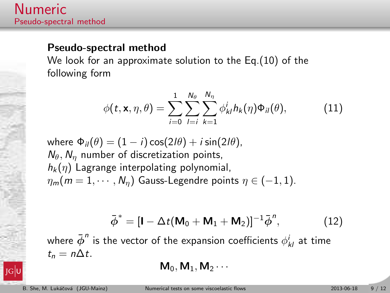#### Pseudo-spectral method

We look for an approximate solution to the Eq.(10) of the following form

$$
\phi(t, \mathbf{x}, \eta, \theta) = \sum_{i=0}^{1} \sum_{l=i}^{N_{\theta}} \sum_{k=1}^{N_{\eta}} \phi_{kl}^{i} h_{k}(\eta) \Phi_{il}(\theta), \qquad (11)
$$

where  $\Phi_{il}(\theta) = (1 - i) \cos(2l\theta) + i \sin(2l\theta)$ ,  $N_{\theta}$ ,  $N_{\eta}$  number of discretization points,  $h_k(\eta)$  Lagrange interpolating polynomial,  $\eta_m(m = 1, \dots, N_n)$  Gauss-Legendre points  $\eta \in (-1, 1)$ .

$$
\bar{\boldsymbol{\phi}}^* = [\mathbf{I} - \Delta t (\mathbf{M}_0 + \mathbf{M}_1 + \mathbf{M}_2)]^{-1} \bar{\boldsymbol{\phi}}^n, \tag{12}
$$

where  ${\bar{\phi}}^n$  is the vector of the expansion coefficients  $\phi^i_{kl}$  at time  $t_n = n\Delta t$ .

 $M_0, M_1, M_2 \cdots$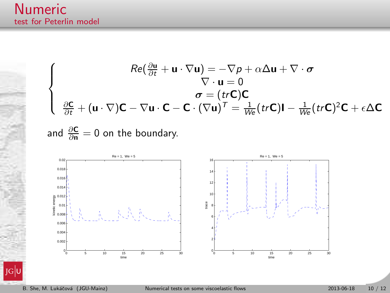## Numeric test for Peterlin model

$$
\begin{cases}\nRe(\frac{\partial \mathbf{u}}{\partial t} + \mathbf{u} \cdot \nabla \mathbf{u}) = -\nabla p + \alpha \Delta \mathbf{u} + \nabla \cdot \boldsymbol{\sigma} \\
\nabla \cdot \mathbf{u} = 0 \\
\sigma = (tr\mathbf{C})\mathbf{C} \\
\frac{\partial \mathbf{C}}{\partial t} + (\mathbf{u} \cdot \nabla)\mathbf{C} - \nabla \mathbf{u} \cdot \mathbf{C} - \mathbf{C} \cdot (\nabla \mathbf{u})^T = \frac{1}{We}(tr\mathbf{C})\mathbf{I} - \frac{1}{We}(tr\mathbf{C})^2 \mathbf{C} + \epsilon \Delta \mathbf{C}\n\end{cases}
$$

and  $\frac{\partial \mathsf{C}}{\partial \mathsf{n}}=0$  on the boundary.

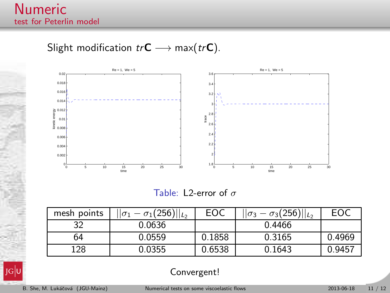## Slight modification  $tr\mathbf{C} \longrightarrow \max(tr\mathbf{C})$ .



Table: L2-error of  $\sigma$ 

| mesh points | $  \overline{\sigma_1} - \sigma_1(256)  _{L_2}$ | EOC    | $  \sigma_3 - \sigma_3(256)  _{L_2}$ | EOC    |
|-------------|-------------------------------------------------|--------|--------------------------------------|--------|
| 32          | 0.0636                                          |        | 0.4466                               |        |
| 64          | 0.0559                                          | 0.1858 | 0.3165                               | 0.4969 |
| 128         | 0.0355                                          | 0.6538 | 0.1643                               | 0.9457 |



Convergent!